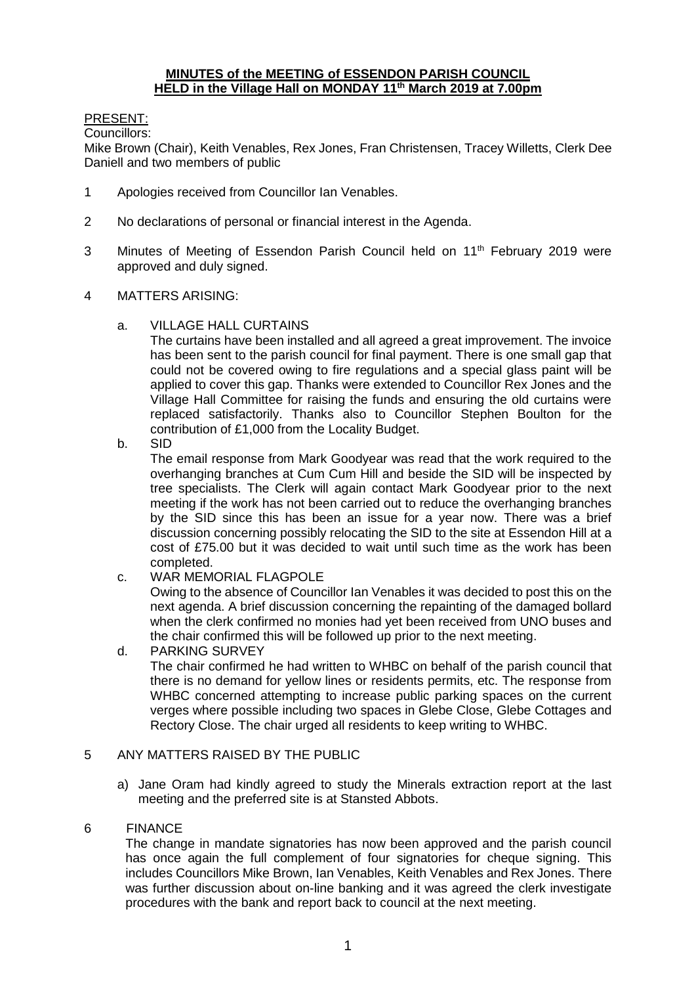#### **MINUTES of the MEETING of ESSENDON PARISH COUNCIL HELD in the Village Hall on MONDAY 11th March 2019 at 7.00pm**

# PRESENT:

Councillors:

Mike Brown (Chair), Keith Venables, Rex Jones, Fran Christensen, Tracey Willetts, Clerk Dee Daniell and two members of public

- 1 Apologies received from Councillor Ian Venables.
- 2 No declarations of personal or financial interest in the Agenda.
- 3 Minutes of Meeting of Essendon Parish Council held on 11<sup>th</sup> February 2019 were approved and duly signed.
- 4 MATTERS ARISING:
	- a. VILLAGE HALL CURTAINS

The curtains have been installed and all agreed a great improvement. The invoice has been sent to the parish council for final payment. There is one small gap that could not be covered owing to fire regulations and a special glass paint will be applied to cover this gap. Thanks were extended to Councillor Rex Jones and the Village Hall Committee for raising the funds and ensuring the old curtains were replaced satisfactorily. Thanks also to Councillor Stephen Boulton for the contribution of £1,000 from the Locality Budget.

b. SID

The email response from Mark Goodyear was read that the work required to the overhanging branches at Cum Cum Hill and beside the SID will be inspected by tree specialists. The Clerk will again contact Mark Goodyear prior to the next meeting if the work has not been carried out to reduce the overhanging branches by the SID since this has been an issue for a year now. There was a brief discussion concerning possibly relocating the SID to the site at Essendon Hill at a cost of £75.00 but it was decided to wait until such time as the work has been completed.

c. WAR MEMORIAL FLAGPOLE

Owing to the absence of Councillor Ian Venables it was decided to post this on the next agenda. A brief discussion concerning the repainting of the damaged bollard when the clerk confirmed no monies had yet been received from UNO buses and the chair confirmed this will be followed up prior to the next meeting.

d. PARKING SURVEY The chair confirmed he had written to WHBC on behalf of the parish council that there is no demand for yellow lines or residents permits, etc. The response from WHBC concerned attempting to increase public parking spaces on the current verges where possible including two spaces in Glebe Close, Glebe Cottages and Rectory Close. The chair urged all residents to keep writing to WHBC.

# 5 ANY MATTERS RAISED BY THE PUBLIC

a) Jane Oram had kindly agreed to study the Minerals extraction report at the last meeting and the preferred site is at Stansted Abbots.

# 6 FINANCE

The change in mandate signatories has now been approved and the parish council has once again the full complement of four signatories for cheque signing. This includes Councillors Mike Brown, Ian Venables, Keith Venables and Rex Jones. There was further discussion about on-line banking and it was agreed the clerk investigate procedures with the bank and report back to council at the next meeting.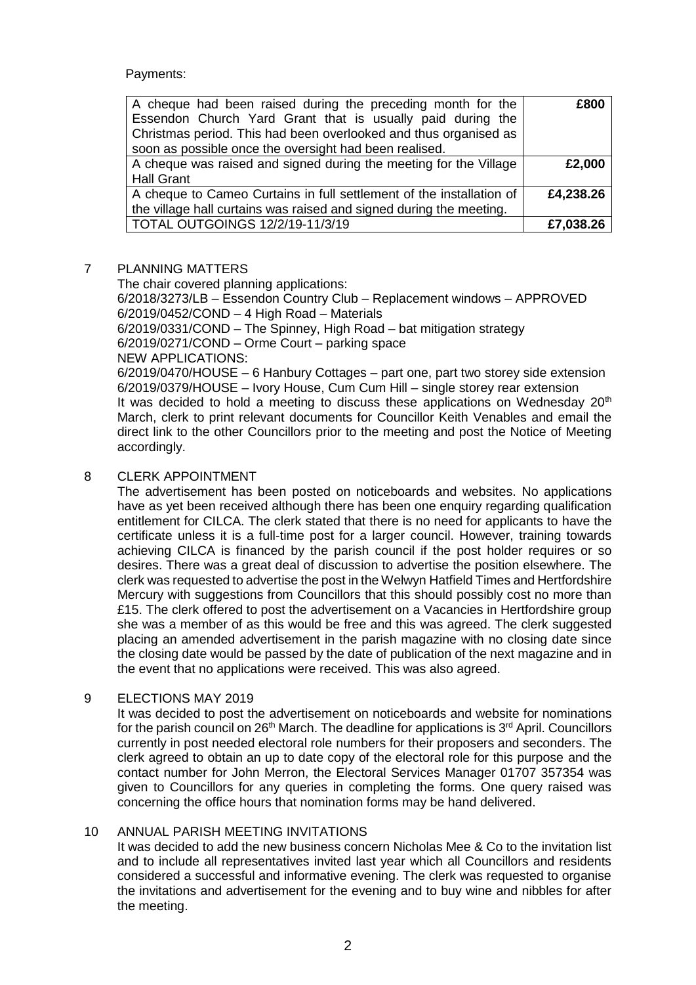Payments:

| A cheque had been raised during the preceding month for the<br>Essendon Church Yard Grant that is usually paid during the<br>Christmas period. This had been overlooked and thus organised as<br>soon as possible once the oversight had been realised. | £800      |
|---------------------------------------------------------------------------------------------------------------------------------------------------------------------------------------------------------------------------------------------------------|-----------|
| A cheque was raised and signed during the meeting for the Village                                                                                                                                                                                       | £2,000    |
| <b>Hall Grant</b>                                                                                                                                                                                                                                       |           |
| A cheque to Cameo Curtains in full settlement of the installation of                                                                                                                                                                                    | £4,238.26 |
| the village hall curtains was raised and signed during the meeting.                                                                                                                                                                                     |           |
| TOTAL OUTGOINGS 12/2/19-11/3/19                                                                                                                                                                                                                         | £7,038.26 |

#### 7 PLANNING MATTERS

The chair covered planning applications: 6/2018/3273/LB – Essendon Country Club – Replacement windows – APPROVED 6/2019/0452/COND – 4 High Road – Materials 6/2019/0331/COND – The Spinney, High Road – bat mitigation strategy 6/2019/0271/COND – Orme Court – parking space NEW APPLICATIONS: 6/2019/0470/HOUSE – 6 Hanbury Cottages – part one, part two storey side extension 6/2019/0379/HOUSE – Ivory House, Cum Cum Hill – single storey rear extension It was decided to hold a meeting to discuss these applications on Wednesday  $20<sup>th</sup>$ March, clerk to print relevant documents for Councillor Keith Venables and email the direct link to the other Councillors prior to the meeting and post the Notice of Meeting accordingly.

# 8 CLERK APPOINTMENT

The advertisement has been posted on noticeboards and websites. No applications have as yet been received although there has been one enquiry regarding qualification entitlement for CILCA. The clerk stated that there is no need for applicants to have the certificate unless it is a full-time post for a larger council. However, training towards achieving CILCA is financed by the parish council if the post holder requires or so desires. There was a great deal of discussion to advertise the position elsewhere. The clerk was requested to advertise the post in the Welwyn Hatfield Times and Hertfordshire Mercury with suggestions from Councillors that this should possibly cost no more than £15. The clerk offered to post the advertisement on a Vacancies in Hertfordshire group she was a member of as this would be free and this was agreed. The clerk suggested placing an amended advertisement in the parish magazine with no closing date since the closing date would be passed by the date of publication of the next magazine and in the event that no applications were received. This was also agreed.

# 9 ELECTIONS MAY 2019

It was decided to post the advertisement on noticeboards and website for nominations for the parish council on  $26<sup>th</sup>$  March. The deadline for applications is  $3<sup>rd</sup>$  April. Councillors currently in post needed electoral role numbers for their proposers and seconders. The clerk agreed to obtain an up to date copy of the electoral role for this purpose and the contact number for John Merron, the Electoral Services Manager 01707 357354 was given to Councillors for any queries in completing the forms. One query raised was concerning the office hours that nomination forms may be hand delivered.

# 10 ANNUAL PARISH MEETING INVITATIONS

It was decided to add the new business concern Nicholas Mee & Co to the invitation list and to include all representatives invited last year which all Councillors and residents considered a successful and informative evening. The clerk was requested to organise the invitations and advertisement for the evening and to buy wine and nibbles for after the meeting.